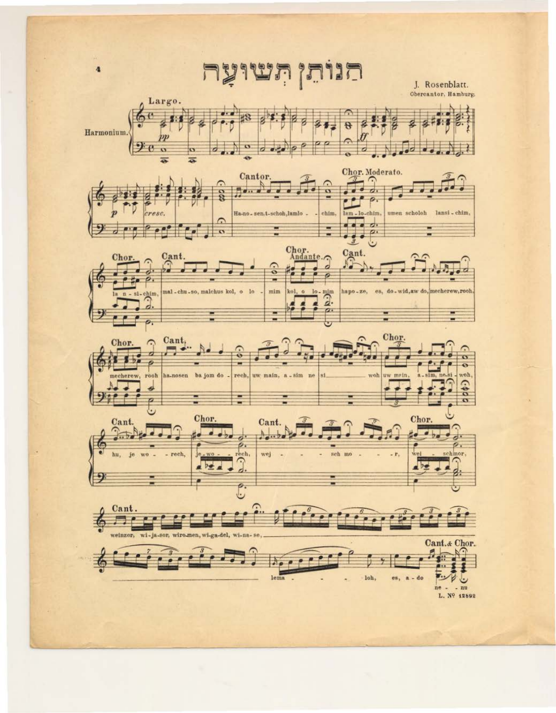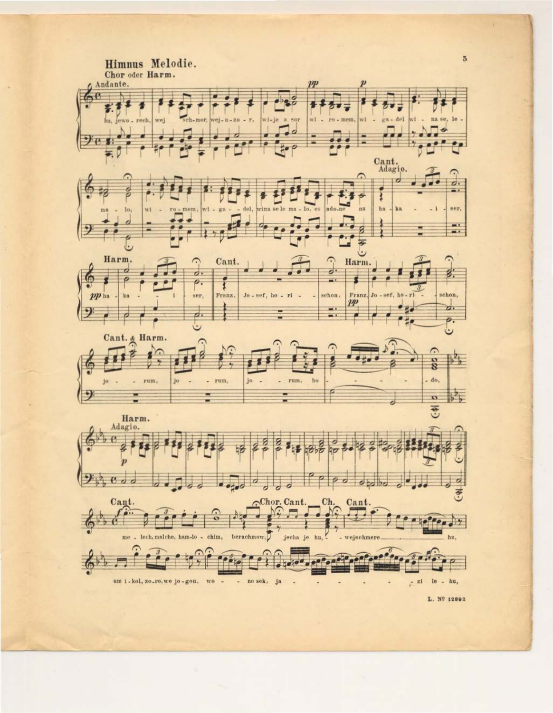

L. Nº 12892